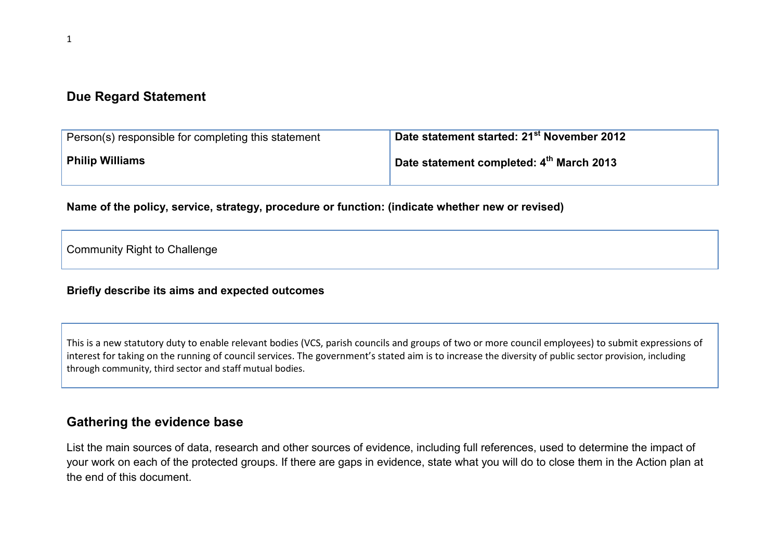## Due Regard Statement

| Person(s) responsible for completing this statement | $^\text{\text{!}}$ Date statement started: 21 $^\text{st}$ November 2012 $^\text{\text{!}}$ |
|-----------------------------------------------------|---------------------------------------------------------------------------------------------|
| <b>Philip Williams</b>                              | Date statement completed: 4th March 2013                                                    |

Name of the policy, service, strategy, procedure or function: (indicate whether new or revised)

Community Right to Challenge

#### Briefly describe its aims and expected outcomes

This is a new statutory duty to enable relevant bodies (VCS, parish councils and groups of two or more council employees) to submit expressions of interest for taking on the running of council services. The government's stated aim is to increase the diversity of public sector provision, including through community, third sector and staff mutual bodies.

### Gathering the evidence base

List the main sources of data, research and other sources of evidence, including full references, used to determine the impact of your work on each of the protected groups. If there are gaps in evidence, state what you will do to close them in the Action plan at the end of this document.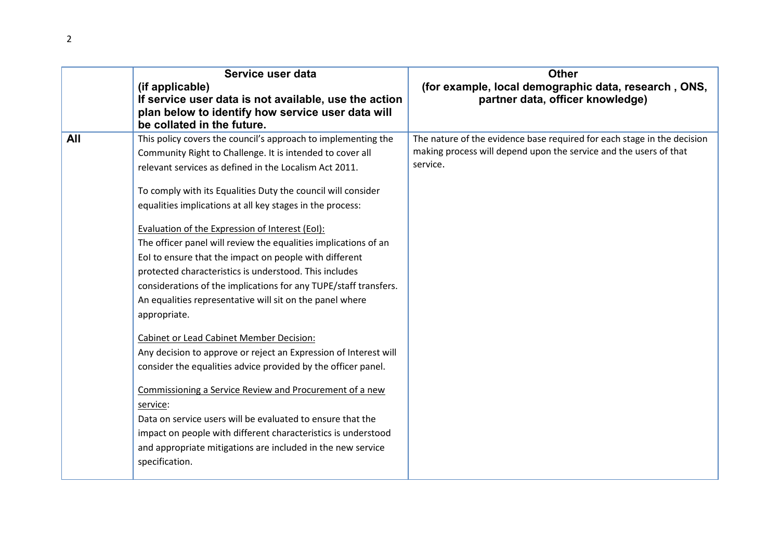|     | Service user data<br>(if applicable)<br>If service user data is not available, use the action<br>plan below to identify how service user data will<br>be collated in the future.                                                                                                                                                                                                                                                                                                                                                                                                                                                                                                                                                                                                                                                                                                                                                                                                                                                                                                                                                                                                           | <b>Other</b><br>(for example, local demographic data, research, ONS,<br>partner data, officer knowledge)                                                 |
|-----|--------------------------------------------------------------------------------------------------------------------------------------------------------------------------------------------------------------------------------------------------------------------------------------------------------------------------------------------------------------------------------------------------------------------------------------------------------------------------------------------------------------------------------------------------------------------------------------------------------------------------------------------------------------------------------------------------------------------------------------------------------------------------------------------------------------------------------------------------------------------------------------------------------------------------------------------------------------------------------------------------------------------------------------------------------------------------------------------------------------------------------------------------------------------------------------------|----------------------------------------------------------------------------------------------------------------------------------------------------------|
| All | This policy covers the council's approach to implementing the<br>Community Right to Challenge. It is intended to cover all<br>relevant services as defined in the Localism Act 2011.<br>To comply with its Equalities Duty the council will consider<br>equalities implications at all key stages in the process:<br>Evaluation of the Expression of Interest (EoI):<br>The officer panel will review the equalities implications of an<br>EoI to ensure that the impact on people with different<br>protected characteristics is understood. This includes<br>considerations of the implications for any TUPE/staff transfers.<br>An equalities representative will sit on the panel where<br>appropriate.<br><b>Cabinet or Lead Cabinet Member Decision:</b><br>Any decision to approve or reject an Expression of Interest will<br>consider the equalities advice provided by the officer panel.<br>Commissioning a Service Review and Procurement of a new<br>service:<br>Data on service users will be evaluated to ensure that the<br>impact on people with different characteristics is understood<br>and appropriate mitigations are included in the new service<br>specification. | The nature of the evidence base required for each stage in the decision<br>making process will depend upon the service and the users of that<br>service. |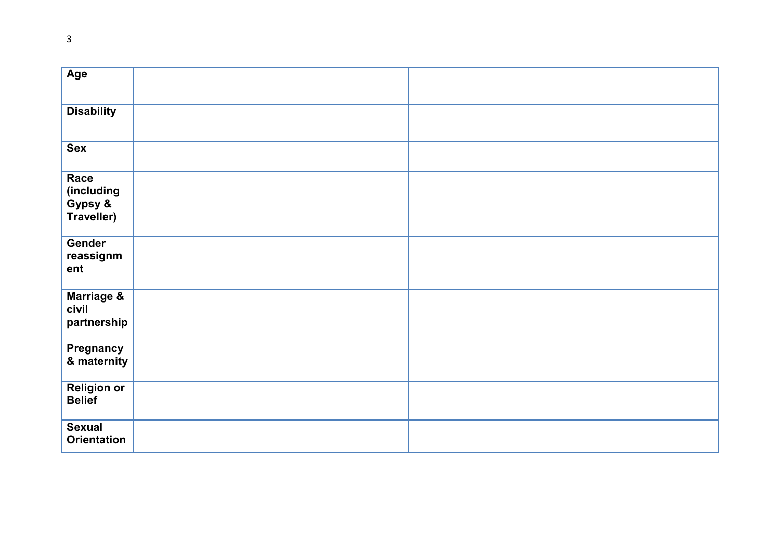| Age                                         |  |
|---------------------------------------------|--|
| <b>Disability</b>                           |  |
| <b>Sex</b>                                  |  |
| Race<br>(including<br>Gypsy &<br>Traveller) |  |
| Gender<br>reassignm<br>ent                  |  |
| Marriage &<br>civil<br>partnership          |  |
| Pregnancy<br>& maternity                    |  |
| <b>Religion or</b><br><b>Belief</b>         |  |
| <b>Sexual</b><br><b>Orientation</b>         |  |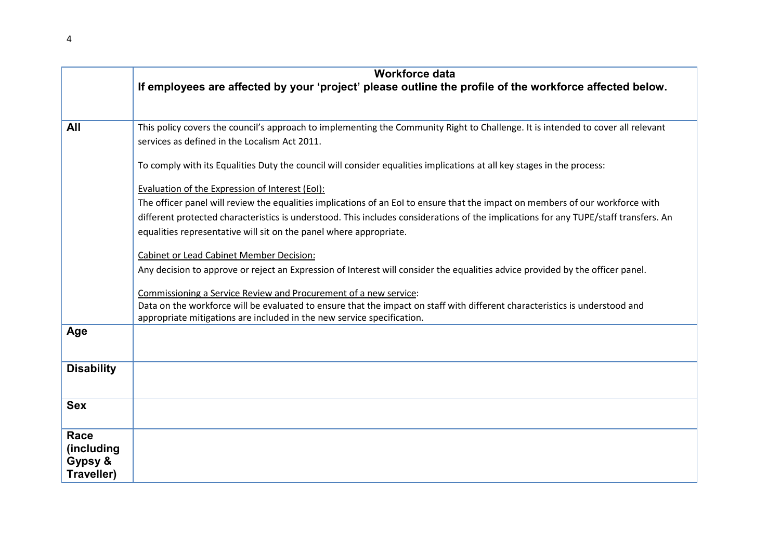|                                             | <b>Workforce data</b><br>If employees are affected by your 'project' please outline the profile of the workforce affected below.                                                                                                                                       |  |  |  |
|---------------------------------------------|------------------------------------------------------------------------------------------------------------------------------------------------------------------------------------------------------------------------------------------------------------------------|--|--|--|
|                                             |                                                                                                                                                                                                                                                                        |  |  |  |
| All                                         | This policy covers the council's approach to implementing the Community Right to Challenge. It is intended to cover all relevant<br>services as defined in the Localism Act 2011.                                                                                      |  |  |  |
|                                             | To comply with its Equalities Duty the council will consider equalities implications at all key stages in the process:                                                                                                                                                 |  |  |  |
|                                             | Evaluation of the Expression of Interest (EoI):                                                                                                                                                                                                                        |  |  |  |
|                                             | The officer panel will review the equalities implications of an EoI to ensure that the impact on members of our workforce with<br>different protected characteristics is understood. This includes considerations of the implications for any TUPE/staff transfers. An |  |  |  |
|                                             | equalities representative will sit on the panel where appropriate.                                                                                                                                                                                                     |  |  |  |
|                                             | <b>Cabinet or Lead Cabinet Member Decision:</b>                                                                                                                                                                                                                        |  |  |  |
|                                             | Any decision to approve or reject an Expression of Interest will consider the equalities advice provided by the officer panel.                                                                                                                                         |  |  |  |
|                                             | Commissioning a Service Review and Procurement of a new service:                                                                                                                                                                                                       |  |  |  |
|                                             | Data on the workforce will be evaluated to ensure that the impact on staff with different characteristics is understood and<br>appropriate mitigations are included in the new service specification.                                                                  |  |  |  |
| Age                                         |                                                                                                                                                                                                                                                                        |  |  |  |
| <b>Disability</b>                           |                                                                                                                                                                                                                                                                        |  |  |  |
| <b>Sex</b>                                  |                                                                                                                                                                                                                                                                        |  |  |  |
| Race<br>(including<br>Gypsy &<br>Traveller) |                                                                                                                                                                                                                                                                        |  |  |  |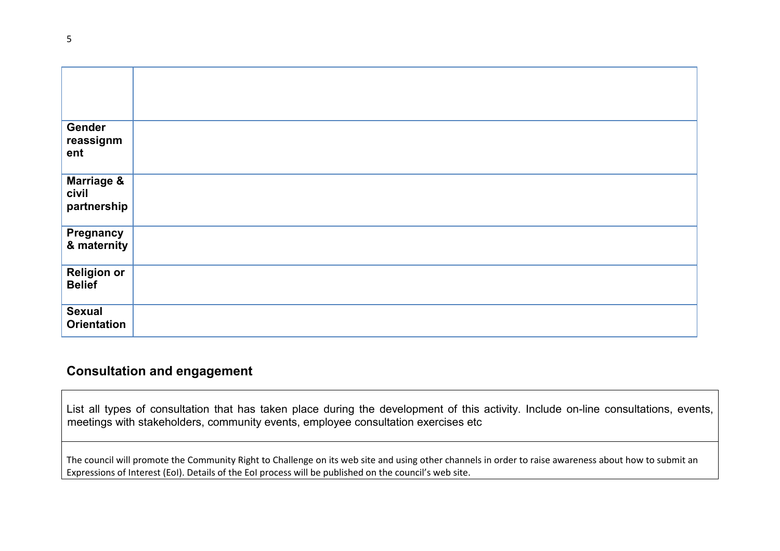| Gender<br>reassignm<br>ent                    |  |
|-----------------------------------------------|--|
| <b>Marriage &amp;</b><br>civil<br>partnership |  |
| <b>Pregnancy<br/>&amp; maternity</b>          |  |
| <b>Religion or</b><br><b>Belief</b>           |  |
| <b>Sexual</b><br><b>Orientation</b>           |  |

## Consultation and engagement

List all types of consultation that has taken place during the development of this activity. Include on-line consultations, events, meetings with stakeholders, community events, employee consultation exercises etc

The council will promote the Community Right to Challenge on its web site and using other channels in order to raise awareness about how to submit an Expressions of Interest (EoI). Details of the EoI process will be published on the council's web site.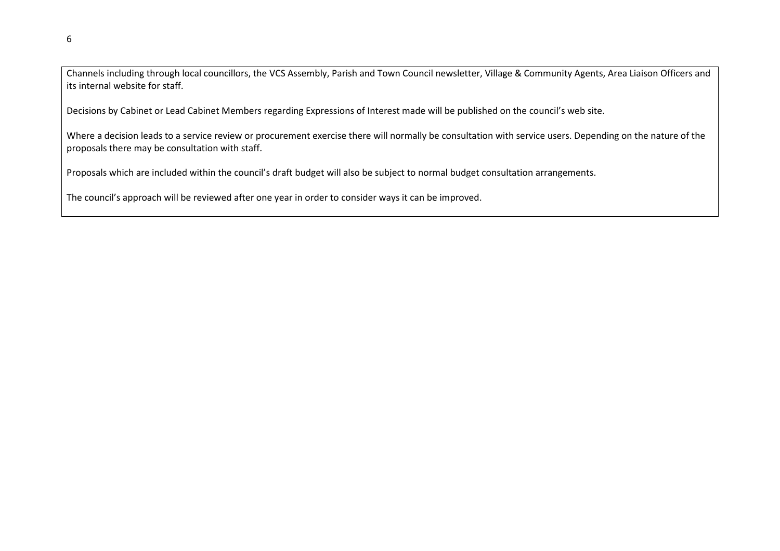Channels including through local councillors, the VCS Assembly, Parish and Town Council newsletter, Village & Community Agents, Area Liaison Officers and its internal website for staff.

Decisions by Cabinet or Lead Cabinet Members regarding Expressions of Interest made will be published on the council's web site.

Where a decision leads to a service review or procurement exercise there will normally be consultation with service users. Depending on the nature of the proposals there may be consultation with staff.

Proposals which are included within the council's draft budget will also be subject to normal budget consultation arrangements.

The council's approach will be reviewed after one year in order to consider ways it can be improved.

6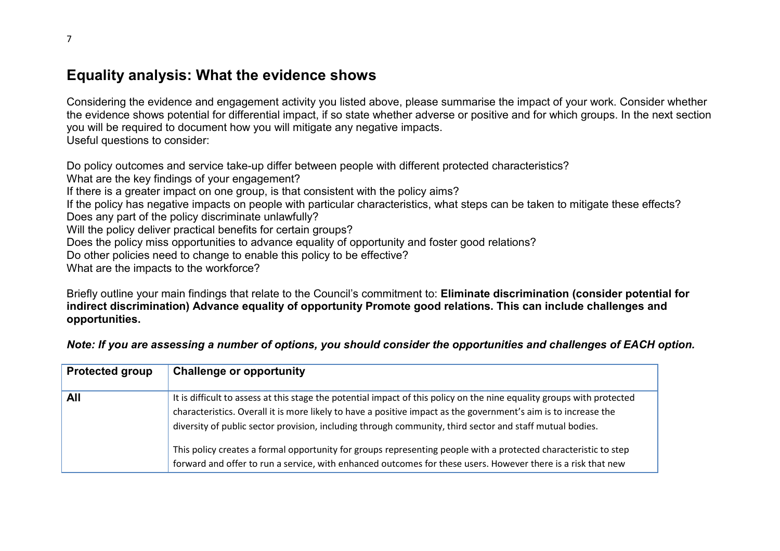## Equality analysis: What the evidence shows

Considering the evidence and engagement activity you listed above, please summarise the impact of your work. Consider whether the evidence shows potential for differential impact, if so state whether adverse or positive and for which groups. In the next section you will be required to document how you will mitigate any negative impacts. Useful questions to consider:

Do policy outcomes and service take-up differ between people with different protected characteristics?

What are the key findings of your engagement?

If there is a greater impact on one group, is that consistent with the policy aims?

If the policy has negative impacts on people with particular characteristics, what steps can be taken to mitigate these effects?

Does any part of the policy discriminate unlawfully?

Will the policy deliver practical benefits for certain groups?

Does the policy miss opportunities to advance equality of opportunity and foster good relations?

Do other policies need to change to enable this policy to be effective?

What are the impacts to the workforce?

Briefly outline your main findings that relate to the Council's commitment to: Eliminate discrimination (consider potential for indirect discrimination) Advance equality of opportunity Promote good relations. This can include challenges and opportunities.

Note: If you are assessing a number of options, you should consider the opportunities and challenges of EACH option.

| <b>Protected group</b> | <b>Challenge or opportunity</b>                                                                                                                                                                                                                                                                                                                                                                                                                                                                                                                                                          |
|------------------------|------------------------------------------------------------------------------------------------------------------------------------------------------------------------------------------------------------------------------------------------------------------------------------------------------------------------------------------------------------------------------------------------------------------------------------------------------------------------------------------------------------------------------------------------------------------------------------------|
| All                    | It is difficult to assess at this stage the potential impact of this policy on the nine equality groups with protected<br>characteristics. Overall it is more likely to have a positive impact as the government's aim is to increase the<br>diversity of public sector provision, including through community, third sector and staff mutual bodies.<br>This policy creates a formal opportunity for groups representing people with a protected characteristic to step<br>forward and offer to run a service, with enhanced outcomes for these users. However there is a risk that new |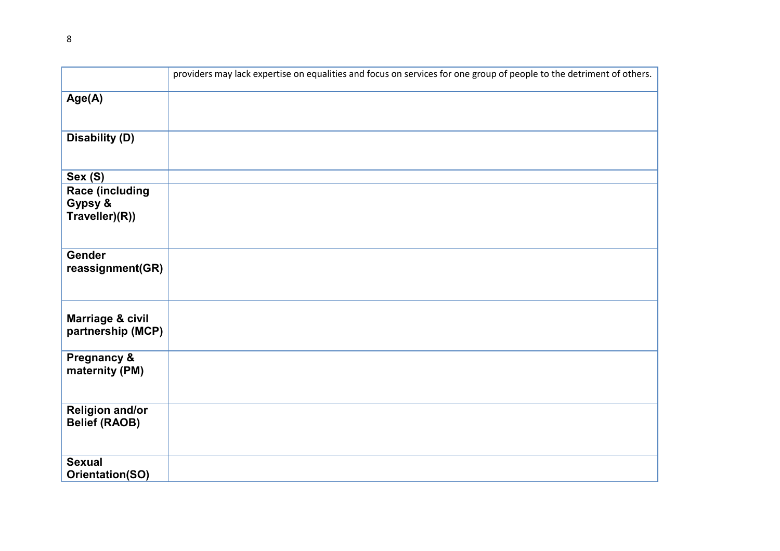|                                                     | providers may lack expertise on equalities and focus on services for one group of people to the detriment of others. |
|-----------------------------------------------------|----------------------------------------------------------------------------------------------------------------------|
| Age(A)                                              |                                                                                                                      |
| <b>Disability (D)</b>                               |                                                                                                                      |
| Sex (S)                                             |                                                                                                                      |
| <b>Race (including</b><br>Gypsy &<br>Traveller)(R)) |                                                                                                                      |
| <b>Gender</b><br>reassignment(GR)                   |                                                                                                                      |
| Marriage & civil<br>partnership (MCP)               |                                                                                                                      |
| <b>Pregnancy &amp;</b><br>maternity (PM)            |                                                                                                                      |
| <b>Religion and/or</b><br><b>Belief (RAOB)</b>      |                                                                                                                      |
| <b>Sexual</b><br><b>Orientation(SO)</b>             |                                                                                                                      |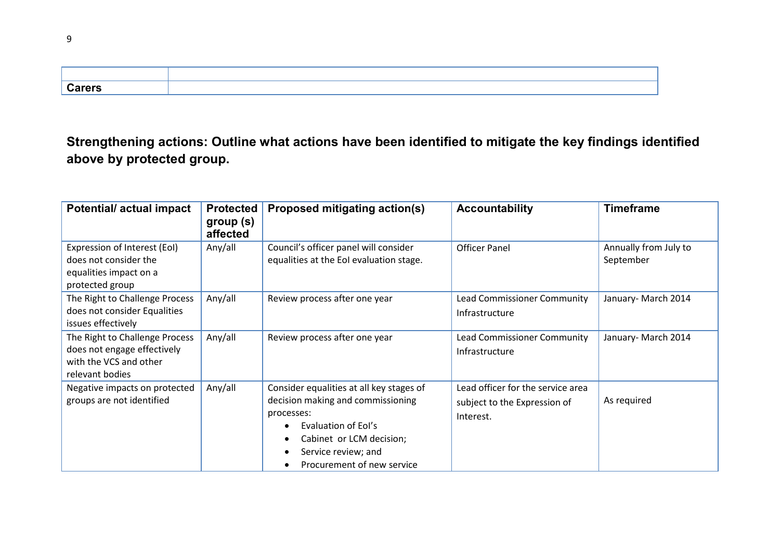| <b>Carers</b> |  |
|---------------|--|

# Strengthening actions: Outline what actions have been identified to mitigate the key findings identified above by protected group.

| <b>Potential/actual impact</b>                                                                             | <b>Protected</b><br>group (s)<br>affected | <b>Proposed mitigating action(s)</b>                                                                                                                                                                                                    | <b>Accountability</b>                                                          | <b>Timeframe</b>                   |
|------------------------------------------------------------------------------------------------------------|-------------------------------------------|-----------------------------------------------------------------------------------------------------------------------------------------------------------------------------------------------------------------------------------------|--------------------------------------------------------------------------------|------------------------------------|
| Expression of Interest (EoI)<br>does not consider the<br>equalities impact on a<br>protected group         | Any/all                                   | Council's officer panel will consider<br>equalities at the EoI evaluation stage.                                                                                                                                                        | <b>Officer Panel</b>                                                           | Annually from July to<br>September |
| The Right to Challenge Process<br>does not consider Equalities<br>issues effectively                       | Any/all                                   | Review process after one year                                                                                                                                                                                                           | Lead Commissioner Community<br>Infrastructure                                  | January- March 2014                |
| The Right to Challenge Process<br>does not engage effectively<br>with the VCS and other<br>relevant bodies | Any/all                                   | Review process after one year                                                                                                                                                                                                           | Lead Commissioner Community<br>Infrastructure                                  | January- March 2014                |
| Negative impacts on protected<br>groups are not identified                                                 | Any/all                                   | Consider equalities at all key stages of<br>decision making and commissioning<br>processes:<br>Evaluation of Eol's<br>$\bullet$<br>Cabinet or LCM decision;<br>٠<br>Service review; and<br>٠<br>Procurement of new service<br>$\bullet$ | Lead officer for the service area<br>subject to the Expression of<br>Interest. | As required                        |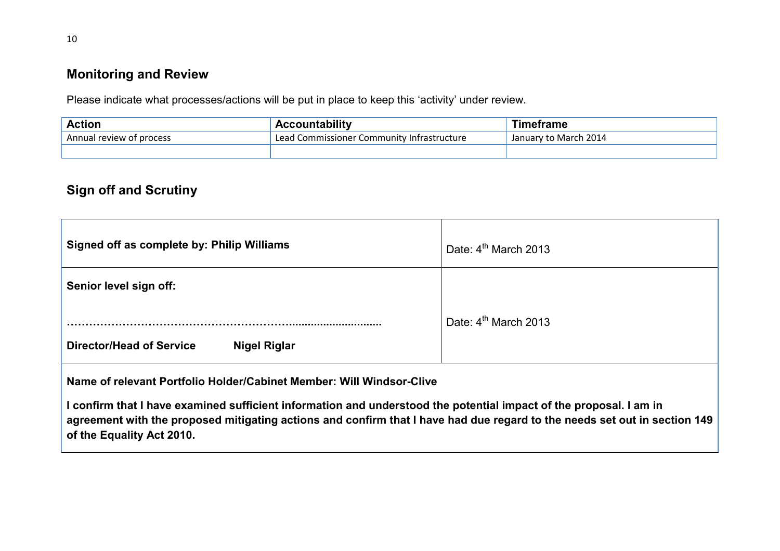### Monitoring and Review

Please indicate what processes/actions will be put in place to keep this 'activity' under review.

| <b>Action</b>                 | countability                               | ⊺imetrame             |
|-------------------------------|--------------------------------------------|-----------------------|
| Annual<br>I review of process | Lead Commissioner Community Infrastructure | January to March 2014 |
|                               |                                            |                       |

## Sign off and Scrutiny

| Signed off as complete by: Philip Williams             | Date: $4th$ March 2013 |
|--------------------------------------------------------|------------------------|
| Senior level sign off:                                 |                        |
| <b>Director/Head of Service</b><br><b>Nigel Riglar</b> | Date: $4th$ March 2013 |

Name of relevant Portfolio Holder/Cabinet Member: Will Windsor-Clive

I confirm that I have examined sufficient information and understood the potential impact of the proposal. I am in agreement with the proposed mitigating actions and confirm that I have had due regard to the needs set out in section 149 of the Equality Act 2010.